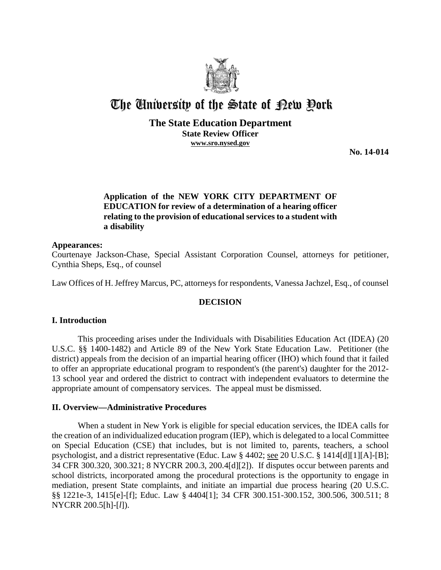

# The University of the State of Pew Pork

# **The State Education Department State Review Officer www.sro.nysed.gov**

**No. 14-014** 

# **Application of the NEW YORK CITY DEPARTMENT OF EDUCATION for review of a determination of a hearing officer relating to the provision of educational services to a student with a disability**

#### **Appearances:**

Courtenaye Jackson-Chase, Special Assistant Corporation Counsel, attorneys for petitioner, Cynthia Sheps, Esq., of counsel

Law Offices of H. Jeffrey Marcus, PC, attorneys for respondents, Vanessa Jachzel, Esq., of counsel

## **DECISION**

## **I. Introduction**

This proceeding arises under the Individuals with Disabilities Education Act (IDEA) (20 U.S.C. §§ 1400-1482) and Article 89 of the New York State Education Law. Petitioner (the district) appeals from the decision of an impartial hearing officer (IHO) which found that it failed to offer an appropriate educational program to respondent's (the parent's) daughter for the 2012- 13 school year and ordered the district to contract with independent evaluators to determine the appropriate amount of compensatory services. The appeal must be dismissed.

## **II. Overview—Administrative Procedures**

 When a student in New York is eligible for special education services, the IDEA calls for the creation of an individualized education program (IEP), which is delegated to a local Committee on Special Education (CSE) that includes, but is not limited to, parents, teachers, a school psychologist, and a district representative (Educ. Law § 4402; see 20 U.S.C. § 1414[d][1][A]-[B]; 34 CFR 300.320, 300.321; 8 NYCRR 200.3, 200.4[d][2]). If disputes occur between parents and school districts, incorporated among the procedural protections is the opportunity to engage in mediation, present State complaints, and initiate an impartial due process hearing (20 U.S.C. §§ 1221e-3, 1415[e]-[f]; Educ. Law § 4404[1]; 34 CFR 300.151-300.152, 300.506, 300.511; 8 NYCRR 200.5[h]-[*l*]).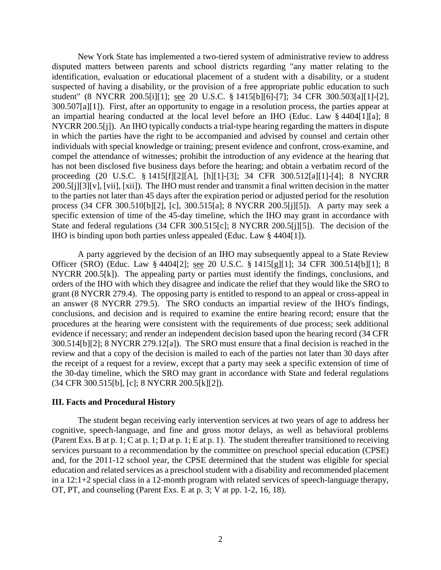New York State has implemented a two-tiered system of administrative review to address disputed matters between parents and school districts regarding "any matter relating to the identification, evaluation or educational placement of a student with a disability, or a student suspected of having a disability, or the provision of a free appropriate public education to such student" (8 NYCRR 200.5[i][1]; see 20 U.S.C. § 1415[b][6]-[7]; 34 CFR 300.503[a][1]-[2], 300.507[a][1]). First, after an opportunity to engage in a resolution process, the parties appear at an impartial hearing conducted at the local level before an IHO (Educ. Law § 4404[1][a]; 8 NYCRR 200.5[j]). An IHO typically conducts a trial-type hearing regarding the matters in dispute in which the parties have the right to be accompanied and advised by counsel and certain other individuals with special knowledge or training; present evidence and confront, cross-examine, and compel the attendance of witnesses; prohibit the introduction of any evidence at the hearing that has not been disclosed five business days before the hearing; and obtain a verbatim record of the proceeding (20 U.S.C. § 1415[f][2][A], [h][1]-[3]; 34 CFR 300.512[a][1]-[4]; 8 NYCRR 200.5[j][3][v], [vii], [xii]). The IHO must render and transmit a final written decision in the matter to the parties not later than 45 days after the expiration period or adjusted period for the resolution process (34 CFR 300.510[b][2], [c], 300.515[a]; 8 NYCRR 200.5[j][5]). A party may seek a specific extension of time of the 45-day timeline, which the IHO may grant in accordance with State and federal regulations (34 CFR 300.515[c]; 8 NYCRR 200.5[j][5]). The decision of the IHO is binding upon both parties unless appealed (Educ. Law § 4404[1]).

A party aggrieved by the decision of an IHO may subsequently appeal to a State Review Officer (SRO) (Educ. Law § 4404[2]; see 20 U.S.C. § 1415[g][1]; 34 CFR 300.514[b][1]; 8 NYCRR 200.5[k]). The appealing party or parties must identify the findings, conclusions, and orders of the IHO with which they disagree and indicate the relief that they would like the SRO to grant (8 NYCRR 279.4). The opposing party is entitled to respond to an appeal or cross-appeal in an answer (8 NYCRR 279.5). The SRO conducts an impartial review of the IHO's findings, conclusions, and decision and is required to examine the entire hearing record; ensure that the procedures at the hearing were consistent with the requirements of due process; seek additional evidence if necessary; and render an independent decision based upon the hearing record (34 CFR 300.514[b][2]; 8 NYCRR 279.12[a]). The SRO must ensure that a final decision is reached in the review and that a copy of the decision is mailed to each of the parties not later than 30 days after the receipt of a request for a review, except that a party may seek a specific extension of time of the 30-day timeline, which the SRO may grant in accordance with State and federal regulations (34 CFR 300.515[b], [c]; 8 NYCRR 200.5[k][2]).

#### **III. Facts and Procedural History**

The student began receiving early intervention services at two years of age to address her cognitive, speech-language, and fine and gross motor delays, as well as behavioral problems (Parent Exs. B at p. 1; C at p. 1; D at p. 1; E at p. 1). The student thereafter transitioned to receiving services pursuant to a recommendation by the committee on preschool special education (CPSE) and, for the 2011-12 school year, the CPSE determined that the student was eligible for special education and related services as a preschool student with a disability and recommended placement in a 12:1+2 special class in a 12-month program with related services of speech-language therapy, OT, PT, and counseling (Parent Exs. E at p. 3; V at pp. 1-2, 16, 18).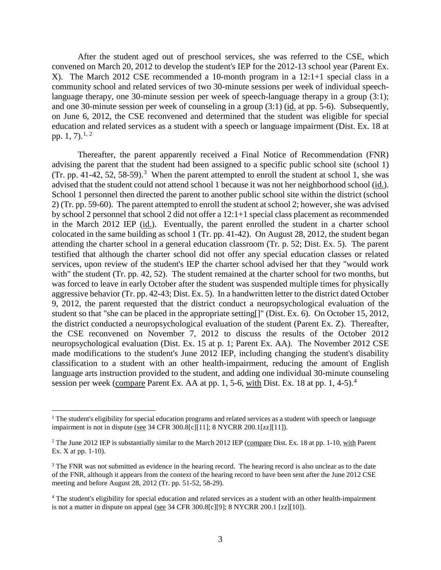After the student aged out of preschool services, she was referred to the CSE, which convened on March 20, 2012 to develop the student's IEP for the 2012-13 school year (Parent Ex. X). The March 2012 CSE recommended a 10-month program in a 12:1+1 special class in a community school and related services of two 30-minute sessions per week of individual speechlanguage therapy, one 30-minute session per week of speech-language therapy in a group (3:1); and one 30-minute session per week of counseling in a group (3:1) (id. at pp. 5-6). Subsequently, on June 6, 2012, the CSE reconvened and determined that the student was eligible for special education and related services as a student with a speech or language impairment (Dist. Ex. 18 at pp. 1, 7).<sup>1, 2</sup>

Thereafter, the parent apparently received a Final Notice of Recommendation (FNR) advising the parent that the student had been assigned to a specific public school site (school 1) (Tr. pp. 41-42, 52, 58-59).<sup>3</sup> When the parent attempted to enroll the student at school 1, she was advised that the student could not attend school 1 because it was not her neighborhood school (id.). School 1 personnel then directed the parent to another public school site within the district (school 2) (Tr. pp. 59-60). The parent attempted to enroll the student at school 2; however, she was advised by school 2 personnel that school 2 did not offer a 12:1+1 special class placement as recommended in the March 2012 IEP (id.). Eventually, the parent enrolled the student in a charter school colocated in the same building as school 1 (Tr. pp. 41-42). On August 28, 2012, the student began attending the charter school in a general education classroom (Tr. p. 52; Dist. Ex. 5). The parent testified that although the charter school did not offer any special education classes or related services, upon review of the student's IEP the charter school advised her that they "would work with" the student (Tr. pp. 42, 52). The student remained at the charter school for two months, but was forced to leave in early October after the student was suspended multiple times for physically aggressive behavior (Tr. pp. 42-43; Dist. Ex. 5). In a handwritten letter to the district dated October 9, 2012, the parent requested that the district conduct a neuropsychological evaluation of the student so that "she can be placed in the appropriate setting[]" (Dist. Ex. 6). On October 15, 2012, the district conducted a neuropsychological evaluation of the student (Parent Ex. Z). Thereafter, the CSE reconvened on November 7, 2012 to discuss the results of the October 2012 neuropsychological evaluation (Dist. Ex. 15 at p. 1; Parent Ex. AA). The November 2012 CSE made modifications to the student's June 2012 IEP, including changing the student's disability classification to a student with an other health-impairment, reducing the amount of English language arts instruction provided to the student, and adding one individual 30-minute counseling session per week (compare Parent Ex. AA at pp. 1, 5-6, with Dist. Ex. 18 at pp. 1, 4-5).<sup>4</sup>

<sup>&</sup>lt;sup>1</sup> The student's eligibility for special education programs and related services as a student with speech or language impairment is not in dispute (see 34 CFR 300.8[c][11]; 8 NYCRR 200.1[zz][11]).

<sup>&</sup>lt;sup>2</sup> The June 2012 IEP is substantially similar to the March 2012 IEP (compare Dist. Ex. 18 at pp. 1-10, with Parent Ex. X at pp. 1-10).

<sup>&</sup>lt;sup>3</sup> The FNR was not submitted as evidence in the hearing record. The hearing record is also unclear as to the date of the FNR, although it appears from the context of the hearing record to have been sent after the June 2012 CSE meeting and before August 28, 2012 (Tr. pp. 51-52, 58-29).

<sup>&</sup>lt;sup>4</sup> The student's eligibility for special education and related services as a student with an other health-impairment is not a matter in dispute on appeal (see 34 CFR 300.8[c][9]; 8 NYCRR 200.1 [zz][10]).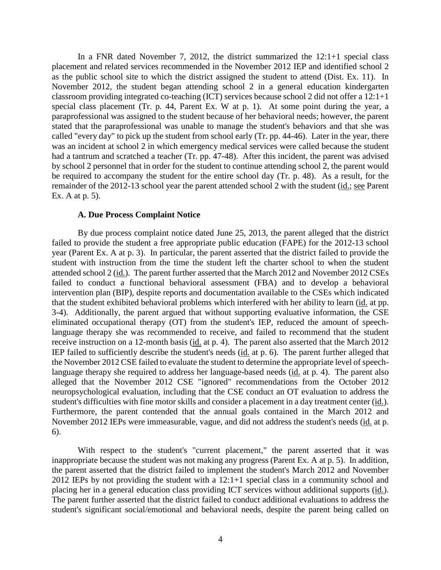In a FNR dated November 7, 2012, the district summarized the 12:1+1 special class placement and related services recommended in the November 2012 IEP and identified school 2 as the public school site to which the district assigned the student to attend (Dist. Ex. 11). In November 2012, the student began attending school 2 in a general education kindergarten classroom providing integrated co-teaching (ICT) services because school 2 did not offer a 12:1+1 special class placement (Tr. p. 44, Parent Ex. W at p. 1). At some point during the year, a paraprofessional was assigned to the student because of her behavioral needs; however, the parent stated that the paraprofessional was unable to manage the student's behaviors and that she was called "every day" to pick up the student from school early (Tr. pp. 44-46). Later in the year, there was an incident at school 2 in which emergency medical services were called because the student had a tantrum and scratched a teacher (Tr. pp. 47-48). After this incident, the parent was advised by school 2 personnel that in order for the student to continue attending school 2, the parent would be required to accompany the student for the entire school day (Tr. p. 48). As a result, for the remainder of the 2012-13 school year the parent attended school 2 with the student (id.; see Parent Ex. A at p. 5).

#### **A. Due Process Complaint Notice**

By due process complaint notice dated June 25, 2013, the parent alleged that the district failed to provide the student a free appropriate public education (FAPE) for the 2012-13 school year (Parent Ex. A at p. 3). In particular, the parent asserted that the district failed to provide the student with instruction from the time the student left the charter school to when the student attended school 2 (id.). The parent further asserted that the March 2012 and November 2012 CSEs failed to conduct a functional behavioral assessment (FBA) and to develop a behavioral intervention plan (BIP), despite reports and documentation available to the CSEs which indicated that the student exhibited behavioral problems which interfered with her ability to learn (id. at pp. 3-4). Additionally, the parent argued that without supporting evaluative information, the CSE eliminated occupational therapy (OT) from the student's IEP, reduced the amount of speechlanguage therapy she was recommended to receive, and failed to recommend that the student receive instruction on a 12-month basis (id. at p. 4). The parent also asserted that the March 2012 IEP failed to sufficiently describe the student's needs (id. at p. 6). The parent further alleged that the November 2012 CSE failed to evaluate the student to determine the appropriate level of speechlanguage therapy she required to address her language-based needs (id. at p. 4). The parent also alleged that the November 2012 CSE "ignored" recommendations from the October 2012 neuropsychological evaluation, including that the CSE conduct an OT evaluation to address the student's difficulties with fine motor skills and consider a placement in a day treatment center (id.). Furthermore, the parent contended that the annual goals contained in the March 2012 and November 2012 IEPs were immeasurable, vague, and did not address the student's needs (id. at p. 6).

With respect to the student's "current placement," the parent asserted that it was inappropriate because the student was not making any progress (Parent Ex. A at p. 5). In addition, the parent asserted that the district failed to implement the student's March 2012 and November 2012 IEPs by not providing the student with a 12:1+1 special class in a community school and placing her in a general education class providing ICT services without additional supports (id.). The parent further asserted that the district failed to conduct additional evaluations to address the student's significant social/emotional and behavioral needs, despite the parent being called on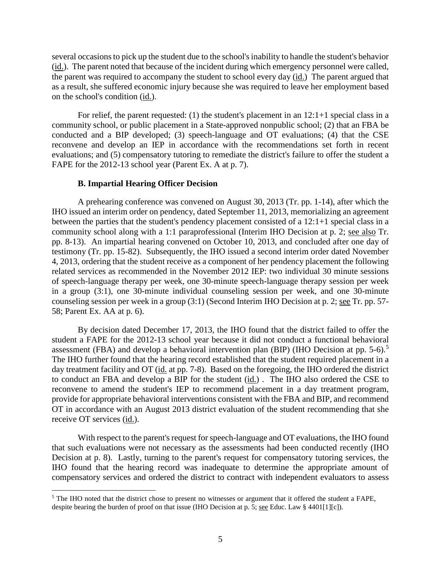several occasions to pick up the student due to the school's inability to handle the student's behavior (id.). The parent noted that because of the incident during which emergency personnel were called, the parent was required to accompany the student to school every day (id.) The parent argued that as a result, she suffered economic injury because she was required to leave her employment based on the school's condition (id.).

For relief, the parent requested: (1) the student's placement in an  $12:1+1$  special class in a community school, or public placement in a State-approved nonpublic school; (2) that an FBA be conducted and a BIP developed; (3) speech-language and OT evaluations; (4) that the CSE reconvene and develop an IEP in accordance with the recommendations set forth in recent evaluations; and (5) compensatory tutoring to remediate the district's failure to offer the student a FAPE for the 2012-13 school year (Parent Ex. A at p. 7).

#### **B. Impartial Hearing Officer Decision**

A prehearing conference was convened on August 30, 2013 (Tr. pp. 1-14), after which the IHO issued an interim order on pendency, dated September 11, 2013, memorializing an agreement between the parties that the student's pendency placement consisted of a 12:1+1 special class in a community school along with a 1:1 paraprofessional (Interim IHO Decision at p. 2; see also Tr. pp. 8-13). An impartial hearing convened on October 10, 2013, and concluded after one day of testimony (Tr. pp. 15-82). Subsequently, the IHO issued a second interim order dated November 4, 2013, ordering that the student receive as a component of her pendency placement the following related services as recommended in the November 2012 IEP: two individual 30 minute sessions of speech-language therapy per week, one 30-minute speech-language therapy session per week in a group (3:1), one 30-minute individual counseling session per week, and one 30-minute counseling session per week in a group (3:1) (Second Interim IHO Decision at p. 2; see Tr. pp. 57- 58; Parent Ex. AA at p. 6).

By decision dated December 17, 2013, the IHO found that the district failed to offer the student a FAPE for the 2012-13 school year because it did not conduct a functional behavioral assessment (FBA) and develop a behavioral intervention plan (BIP) (IHO Decision at pp. 5-6).<sup>5</sup> The IHO further found that the hearing record established that the student required placement in a day treatment facility and OT (id. at pp. 7-8). Based on the foregoing, the IHO ordered the district to conduct an FBA and develop a BIP for the student (id.) . The IHO also ordered the CSE to reconvene to amend the student's IEP to recommend placement in a day treatment program, provide for appropriate behavioral interventions consistent with the FBA and BIP, and recommend OT in accordance with an August 2013 district evaluation of the student recommending that she receive OT services (id.).

With respect to the parent's request for speech-language and OT evaluations, the IHO found that such evaluations were not necessary as the assessments had been conducted recently (IHO Decision at p. 8). Lastly, turning to the parent's request for compensatory tutoring services, the IHO found that the hearing record was inadequate to determine the appropriate amount of compensatory services and ordered the district to contract with independent evaluators to assess

<sup>&</sup>lt;sup>5</sup> The IHO noted that the district chose to present no witnesses or argument that it offered the student a FAPE, despite bearing the burden of proof on that issue (IHO Decision at p. 5; see Educ. Law § 4401[1][c]).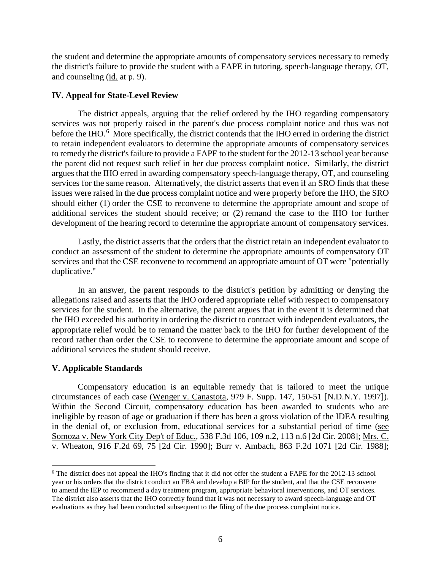the student and determine the appropriate amounts of compensatory services necessary to remedy the district's failure to provide the student with a FAPE in tutoring, speech-language therapy, OT, and counseling (id. at p. 9).

## **IV. Appeal for State-Level Review**

The district appeals, arguing that the relief ordered by the IHO regarding compensatory services was not properly raised in the parent's due process complaint notice and thus was not before the IHO.<sup>6</sup> More specifically, the district contends that the IHO erred in ordering the district to retain independent evaluators to determine the appropriate amounts of compensatory services to remedy the district's failure to provide a FAPE to the student for the 2012-13 school year because the parent did not request such relief in her due process complaint notice. Similarly, the district argues that the IHO erred in awarding compensatory speech-language therapy, OT, and counseling services for the same reason. Alternatively, the district asserts that even if an SRO finds that these issues were raised in the due process complaint notice and were properly before the IHO, the SRO should either (1) order the CSE to reconvene to determine the appropriate amount and scope of additional services the student should receive; or (2) remand the case to the IHO for further development of the hearing record to determine the appropriate amount of compensatory services.

Lastly, the district asserts that the orders that the district retain an independent evaluator to conduct an assessment of the student to determine the appropriate amounts of compensatory OT services and that the CSE reconvene to recommend an appropriate amount of OT were "potentially duplicative."

In an answer, the parent responds to the district's petition by admitting or denying the allegations raised and asserts that the IHO ordered appropriate relief with respect to compensatory services for the student. In the alternative, the parent argues that in the event it is determined that the IHO exceeded his authority in ordering the district to contract with independent evaluators, the appropriate relief would be to remand the matter back to the IHO for further development of the record rather than order the CSE to reconvene to determine the appropriate amount and scope of additional services the student should receive.

## **V. Applicable Standards**

Compensatory education is an equitable remedy that is tailored to meet the unique circumstances of each case (Wenger v. Canastota, 979 F. Supp. 147, 150-51 [N.D.N.Y. 1997]). Within the Second Circuit, compensatory education has been awarded to students who are ineligible by reason of age or graduation if there has been a gross violation of the IDEA resulting in the denial of, or exclusion from, educational services for a substantial period of time (see Somoza v. New York City Dep't of Educ., 538 F.3d 106, 109 n.2, 113 n.6 [2d Cir. 2008]; Mrs. C. v. Wheaton, 916 F.2d 69, 75 [2d Cir. 1990]; Burr v. Ambach, 863 F.2d 1071 [2d Cir. 1988];

<sup>&</sup>lt;sup>6</sup> The district does not appeal the IHO's finding that it did not offer the student a FAPE for the 2012-13 school year or his orders that the district conduct an FBA and develop a BIP for the student, and that the CSE reconvene to amend the IEP to recommend a day treatment program, appropriate behavioral interventions, and OT services. The district also asserts that the IHO correctly found that it was not necessary to award speech-language and OT evaluations as they had been conducted subsequent to the filing of the due process complaint notice.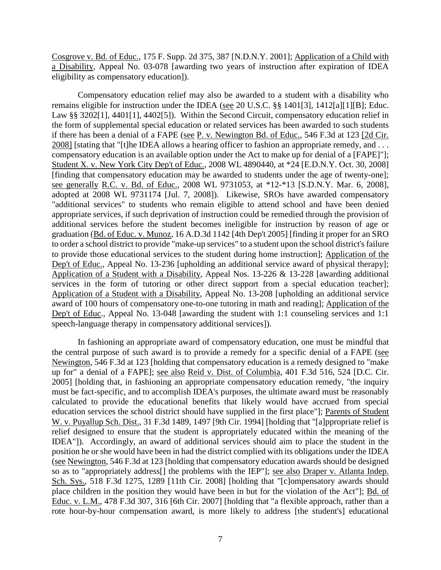Cosgrove v. Bd. of Educ., 175 F. Supp. 2d 375, 387 [N.D.N.Y. 2001]; Application of a Child with a Disability, Appeal No. 03-078 [awarding two years of instruction after expiration of IDEA eligibility as compensatory education]).

Compensatory education relief may also be awarded to a student with a disability who remains eligible for instruction under the IDEA (see 20 U.S.C. §§ 1401[3], 1412[a][1][B]; Educ. Law §§ 3202[1], 4401[1], 4402[5]). Within the Second Circuit, compensatory education relief in the form of supplemental special education or related services has been awarded to such students if there has been a denial of a FAPE (see P. v. Newington Bd. of Educ., 546 F.3d at 123 [2d Cir. 2008] [stating that "[t]he IDEA allows a hearing officer to fashion an appropriate remedy, and . . . compensatory education is an available option under the Act to make up for denial of a [FAPE]"]; Student X. v. New York City Dep't of Educ., 2008 WL 4890440, at \*24 [E.D.N.Y. Oct. 30, 2008] [finding that compensatory education may be awarded to students under the age of twenty-one]; see generally R.C. v. Bd. of Educ., 2008 WL 9731053, at \*12-\*13 [S.D.N.Y. Mar. 6, 2008], adopted at 2008 WL 9731174 [Jul. 7, 2008]). Likewise, SROs have awarded compensatory "additional services" to students who remain eligible to attend school and have been denied appropriate services, if such deprivation of instruction could be remedied through the provision of additional services before the student becomes ineligible for instruction by reason of age or graduation (Bd. of Educ. v. Munoz, 16 A.D.3d 1142 [4th Dep't 2005] [finding it proper for an SRO to order a school district to provide "make-up services" to a student upon the school district's failure to provide those educational services to the student during home instruction]; Application of the Dep't of Educ., Appeal No. 13-236 [upholding an additional service award of physical therapy]; Application of a Student with a Disability, Appeal Nos. 13-226 & 13-228 [awarding additional services in the form of tutoring or other direct support from a special education teacher]; Application of a Student with a Disability, Appeal No. 13-208 [upholding an additional service award of 100 hours of compensatory one-to-one tutoring in math and reading]; Application of the Dep't of Educ., Appeal No. 13-048 [awarding the student with 1:1 counseling services and 1:1 speech-language therapy in compensatory additional services]).

In fashioning an appropriate award of compensatory education, one must be mindful that the central purpose of such award is to provide a remedy for a specific denial of a FAPE (see Newington, 546 F.3d at 123 [holding that compensatory education is a remedy designed to "make up for" a denial of a FAPE]; see also Reid v. Dist. of Columbia, 401 F.3d 516, 524 [D.C. Cir. 2005] [holding that, in fashioning an appropriate compensatory education remedy, "the inquiry must be fact-specific, and to accomplish IDEA's purposes, the ultimate award must be reasonably calculated to provide the educational benefits that likely would have accrued from special education services the school district should have supplied in the first place"]; Parents of Student W. v. Puyallup Sch. Dist., 31 F.3d 1489, 1497 [9th Cir. 1994] [holding that "[a]ppropriate relief is relief designed to ensure that the student is appropriately educated within the meaning of the IDEA"]). Accordingly, an award of additional services should aim to place the student in the position he or she would have been in had the district complied with its obligations under the IDEA (see Newington, 546 F.3d at 123 [holding that compensatory education awards should be designed so as to "appropriately address[] the problems with the IEP"]; see also Draper v. Atlanta Indep. Sch. Sys., 518 F.3d 1275, 1289 [11th Cir. 2008] [holding that "[c]ompensatory awards should place children in the position they would have been in but for the violation of the Act"]; Bd. of Educ. v. L.M., 478 F.3d 307, 316 [6th Cir. 2007] [holding that "a flexible approach, rather than a rote hour-by-hour compensation award, is more likely to address [the student's] educational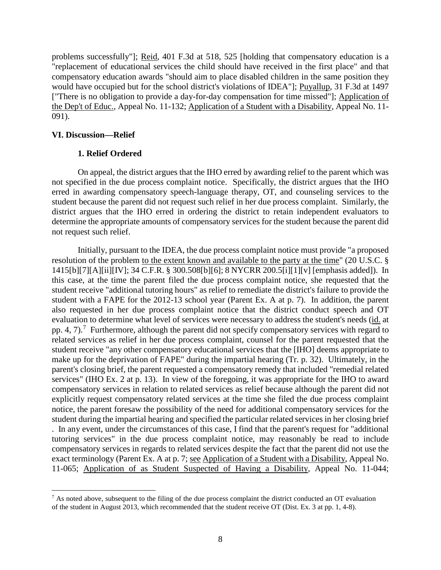problems successfully"]; Reid, 401 F.3d at 518, 525 [holding that compensatory education is a "replacement of educational services the child should have received in the first place" and that compensatory education awards "should aim to place disabled children in the same position they would have occupied but for the school district's violations of IDEA"]; Puyallup, 31 F.3d at 1497 ["There is no obligation to provide a day-for-day compensation for time missed"]; Application of the Dep't of Educ., Appeal No. 11-132; Application of a Student with a Disability, Appeal No. 11- 091).

## **VI. Discussion—Relief**

## **1. Relief Ordered**

On appeal, the district argues that the IHO erred by awarding relief to the parent which was not specified in the due process complaint notice. Specifically, the district argues that the IHO erred in awarding compensatory speech-language therapy, OT, and counseling services to the student because the parent did not request such relief in her due process complaint. Similarly, the district argues that the IHO erred in ordering the district to retain independent evaluators to determine the appropriate amounts of compensatory services for the student because the parent did not request such relief.

Initially, pursuant to the IDEA, the due process complaint notice must provide "a proposed resolution of the problem to the extent known and available to the party at the time" (20 U.S.C. § 1415[b][7][A][ii][IV]; 34 C.F.R. § 300.508[b][6]; 8 NYCRR 200.5[i][1][v] [emphasis added]). In this case, at the time the parent filed the due process complaint notice, she requested that the student receive "additional tutoring hours" as relief to remediate the district's failure to provide the student with a FAPE for the 2012-13 school year (Parent Ex. A at p. 7). In addition, the parent also requested in her due process complaint notice that the district conduct speech and OT evaluation to determine what level of services were necessary to address the student's needs (id. at pp. 4, 7).<sup>7</sup> Furthermore, although the parent did not specify compensatory services with regard to related services as relief in her due process complaint, counsel for the parent requested that the student receive "any other compensatory educational services that the [IHO] deems appropriate to make up for the deprivation of FAPE" during the impartial hearing (Tr. p. 32). Ultimately, in the parent's closing brief, the parent requested a compensatory remedy that included "remedial related services" (IHO Ex. 2 at p. 13). In view of the foregoing, it was appropriate for the IHO to award compensatory services in relation to related services as relief because although the parent did not explicitly request compensatory related services at the time she filed the due process complaint notice, the parent foresaw the possibility of the need for additional compensatory services for the student during the impartial hearing and specified the particular related services in her closing brief . In any event, under the circumstances of this case, I find that the parent's request for "additional tutoring services" in the due process complaint notice, may reasonably be read to include compensatory services in regards to related services despite the fact that the parent did not use the exact terminology (Parent Ex. A at p. 7; see Application of a Student with a Disability, Appeal No. 11-065; Application of as Student Suspected of Having a Disability, Appeal No. 11-044;

<sup>&</sup>lt;sup>7</sup> As noted above, subsequent to the filing of the due process complaint the district conducted an OT evaluation of the student in August 2013, which recommended that the student receive OT (Dist. Ex. 3 at pp. 1, 4-8).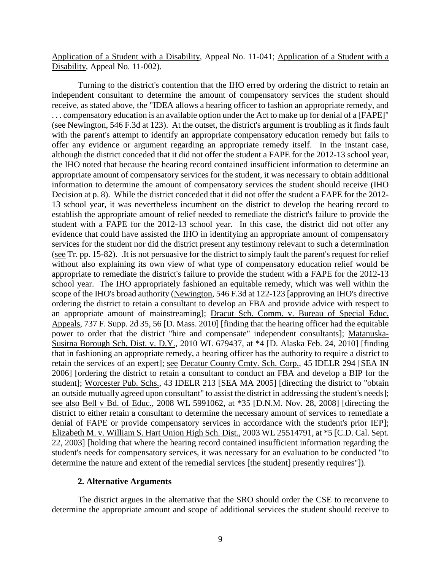Application of a Student with a Disability, Appeal No. 11-041; Application of a Student with a Disability, Appeal No. 11-002).

Turning to the district's contention that the IHO erred by ordering the district to retain an independent consultant to determine the amount of compensatory services the student should receive, as stated above, the "IDEA allows a hearing officer to fashion an appropriate remedy, and . . . compensatory education is an available option under the Act to make up for denial of a [FAPE]" (see Newington, 546 F.3d at 123). At the outset, the district's argument is troubling as it finds fault with the parent's attempt to identify an appropriate compensatory education remedy but fails to offer any evidence or argument regarding an appropriate remedy itself. In the instant case, although the district conceded that it did not offer the student a FAPE for the 2012-13 school year, the IHO noted that because the hearing record contained insufficient information to determine an appropriate amount of compensatory services for the student, it was necessary to obtain additional information to determine the amount of compensatory services the student should receive (IHO Decision at p. 8). While the district conceded that it did not offer the student a FAPE for the 2012- 13 school year, it was nevertheless incumbent on the district to develop the hearing record to establish the appropriate amount of relief needed to remediate the district's failure to provide the student with a FAPE for the 2012-13 school year. In this case, the district did not offer any evidence that could have assisted the IHO in identifying an appropriate amount of compensatory services for the student nor did the district present any testimony relevant to such a determination (see Tr. pp. 15-82). .It is not persuasive for the district to simply fault the parent's request for relief without also explaining its own view of what type of compensatory education relief would be appropriate to remediate the district's failure to provide the student with a FAPE for the 2012-13 school year. The IHO appropriately fashioned an equitable remedy, which was well within the scope of the IHO's broad authority (Newington, 546 F.3d at 122-123 [approving an IHO's directive ordering the district to retain a consultant to develop an FBA and provide advice with respect to an appropriate amount of mainstreaming]; Dracut Sch. Comm. v. Bureau of Special Educ. Appeals, 737 F. Supp. 2d 35, 56 [D. Mass. 2010] [finding that the hearing officer had the equitable power to order that the district "hire and compensate" independent consultants]; Matanuska-Susitna Borough Sch. Dist. v. D.Y., 2010 WL 679437, at \*4 [D. Alaska Feb. 24, 2010] [finding that in fashioning an appropriate remedy, a hearing officer has the authority to require a district to retain the services of an expert]; see Decatur County Cmty. Sch. Corp., 45 IDELR 294 [SEA IN 2006] [ordering the district to retain a consultant to conduct an FBA and develop a BIP for the student]; Worcester Pub. Schs., 43 IDELR 213 [SEA MA 2005] [directing the district to "obtain an outside mutually agreed upon consultant" to assist the district in addressing the student's needs]; see also Bell v Bd. of Educ., 2008 WL 5991062, at \*35 [D.N.M. Nov. 28, 2008] [directing the district to either retain a consultant to determine the necessary amount of services to remediate a denial of FAPE or provide compensatory services in accordance with the student's prior IEP]; Elizabeth M. v. William S. Hart Union High Sch. Dist., 2003 WL 25514791, at \*5 [C.D. Cal. Sept. 22, 2003] [holding that where the hearing record contained insufficient information regarding the student's needs for compensatory services, it was necessary for an evaluation to be conducted "to determine the nature and extent of the remedial services [the student] presently requires"]).

#### **2. Alternative Arguments**

The district argues in the alternative that the SRO should order the CSE to reconvene to determine the appropriate amount and scope of additional services the student should receive to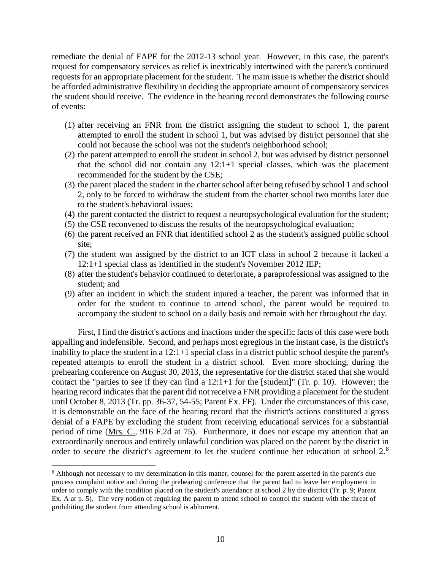remediate the denial of FAPE for the 2012-13 school year. However, in this case, the parent's request for compensatory services as relief is inextricably intertwined with the parent's continued requests for an appropriate placement for the student. The main issue is whether the district should be afforded administrative flexibility in deciding the appropriate amount of compensatory services the student should receive. The evidence in the hearing record demonstrates the following course of events:

- (1) after receiving an FNR from the district assigning the student to school 1, the parent attempted to enroll the student in school 1, but was advised by district personnel that she could not because the school was not the student's neighborhood school;
- (2) the parent attempted to enroll the student in school 2, but was advised by district personnel that the school did not contain any 12:1+1 special classes, which was the placement recommended for the student by the CSE;
- (3) the parent placed the student in the charter school after being refused by school 1 and school 2, only to be forced to withdraw the student from the charter school two months later due to the student's behavioral issues;
- (4) the parent contacted the district to request a neuropsychological evaluation for the student;
- (5) the CSE reconvened to discuss the results of the neuropsychological evaluation;
- (6) the parent received an FNR that identified school 2 as the student's assigned public school site;
- (7) the student was assigned by the district to an ICT class in school 2 because it lacked a 12:1+1 special class as identified in the student's November 2012 IEP;
- (8) after the student's behavior continued to deteriorate, a paraprofessional was assigned to the student; and
- (9) after an incident in which the student injured a teacher, the parent was informed that in order for the student to continue to attend school, the parent would be required to accompany the student to school on a daily basis and remain with her throughout the day.

First, I find the district's actions and inactions under the specific facts of this case were both appalling and indefensible. Second, and perhaps most egregious in the instant case, is the district's inability to place the student in a 12:1+1 special class in a district public school despite the parent's repeated attempts to enroll the student in a district school. Even more shocking, during the prehearing conference on August 30, 2013, the representative for the district stated that she would contact the "parties to see if they can find a 12:1+1 for the [student]" (Tr. p. 10). However; the hearing record indicates that the parent did not receive a FNR providing a placement for the student until October 8, 2013 (Tr. pp. 36-37, 54-55; Parent Ex. FF). Under the circumstances of this case, it is demonstrable on the face of the hearing record that the district's actions constituted a gross denial of a FAPE by excluding the student from receiving educational services for a substantial period of time (Mrs. C., 916 F.2d at 75). Furthermore, it does not escape my attention that an extraordinarily onerous and entirely unlawful condition was placed on the parent by the district in order to secure the district's agreement to let the student continue her education at school 2.<sup>8</sup>

 <sup>8</sup> Although not necessary to my determination in this matter, counsel for the parent asserted in the parent's due process complaint notice and during the prehearing conference that the parent had to leave her employment in order to comply with the condition placed on the student's attendance at school 2 by the district (Tr. p. 9; Parent Ex. A at p. 5). The very notion of requiring the parent to attend school to control the student with the threat of prohibiting the student from attending school is abhorrent.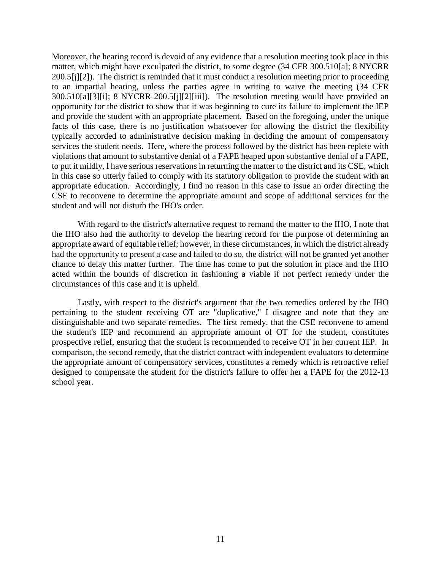Moreover, the hearing record is devoid of any evidence that a resolution meeting took place in this matter, which might have exculpated the district, to some degree (34 CFR 300.510[a]; 8 NYCRR 200.5[j][2]). The district is reminded that it must conduct a resolution meeting prior to proceeding to an impartial hearing, unless the parties agree in writing to waive the meeting (34 CFR 300.510[a][3][i]; 8 NYCRR 200.5[j][2][iii]). The resolution meeting would have provided an opportunity for the district to show that it was beginning to cure its failure to implement the IEP and provide the student with an appropriate placement. Based on the foregoing, under the unique facts of this case, there is no justification whatsoever for allowing the district the flexibility typically accorded to administrative decision making in deciding the amount of compensatory services the student needs. Here, where the process followed by the district has been replete with violations that amount to substantive denial of a FAPE heaped upon substantive denial of a FAPE, to put it mildly, I have serious reservations in returning the matter to the district and its CSE, which in this case so utterly failed to comply with its statutory obligation to provide the student with an appropriate education. Accordingly, I find no reason in this case to issue an order directing the CSE to reconvene to determine the appropriate amount and scope of additional services for the student and will not disturb the IHO's order.

With regard to the district's alternative request to remand the matter to the IHO, I note that the IHO also had the authority to develop the hearing record for the purpose of determining an appropriate award of equitable relief; however, in these circumstances, in which the district already had the opportunity to present a case and failed to do so, the district will not be granted yet another chance to delay this matter further. The time has come to put the solution in place and the IHO acted within the bounds of discretion in fashioning a viable if not perfect remedy under the circumstances of this case and it is upheld.

Lastly, with respect to the district's argument that the two remedies ordered by the IHO pertaining to the student receiving OT are "duplicative," I disagree and note that they are distinguishable and two separate remedies. The first remedy, that the CSE reconvene to amend the student's IEP and recommend an appropriate amount of OT for the student, constitutes prospective relief, ensuring that the student is recommended to receive OT in her current IEP. In comparison, the second remedy, that the district contract with independent evaluators to determine the appropriate amount of compensatory services, constitutes a remedy which is retroactive relief designed to compensate the student for the district's failure to offer her a FAPE for the 2012-13 school year.